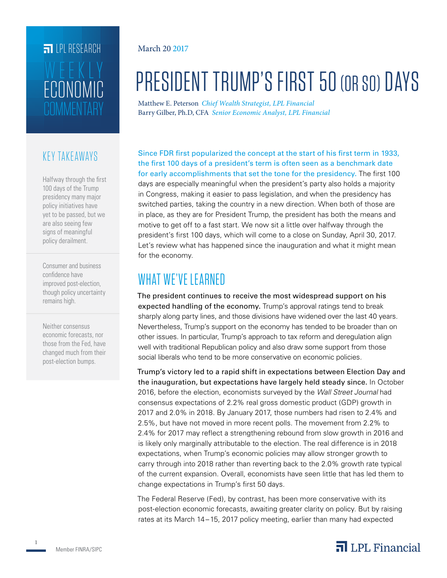## **FILLE** LPL RESEARCH **COMMENTARY** ECONOMIC WEEKLY

### KEY TAKEAWAYS

Halfway through the first 100 days of the Trump presidency many major policy initiatives have yet to be passed, but we are also seeing few signs of meaningful policy derailment.

Consumer and business confidence have improved post-election, though policy uncertainty remains high.

Neither consensus economic forecasts, nor those from the Fed, have changed much from their post-election bumps.

### March 20 2017

# PRESIDENT TRUMP'S FIRST 50 (OR SO) DAYS

Matthew E. Peterson *Chief Wealth Strategist, LPL Financial* Barry Gilber, Ph.D, CFA *Senior Economic Analyst, LPL Financial*

Since FDR first popularized the concept at the start of his first term in 1933, the first 100 days of a president's term is often seen as a benchmark date for early accomplishments that set the tone for the presidency. The first 100 days are especially meaningful when the president's party also holds a majority in Congress, making it easier to pass legislation, and when the presidency has switched parties, taking the country in a new direction. When both of those are in place, as they are for President Trump, the president has both the means and motive to get off to a fast start. We now sit a little over halfway through the president's first 100 days, which will come to a close on Sunday, April 30, 2017. Let's review what has happened since the inauguration and what it might mean for the economy.

### WHAT WE'VE LEARNED

The president continues to receive the most widespread support on his expected handling of the economy. Trump's approval ratings tend to break sharply along party lines, and those divisions have widened over the last 40 years. Nevertheless, Trump's support on the economy has tended to be broader than on other issues. In particular, Trump's approach to tax reform and deregulation align well with traditional Republican policy and also draw some support from those social liberals who tend to be more conservative on economic policies.

Trump's victory led to a rapid shift in expectations between Election Day and the inauguration, but expectations have largely held steady since. In October 2016, before the election, economists surveyed by the *Wall Street Journal* had consensus expectations of 2.2% real gross domestic product (GDP) growth in 2017 and 2.0% in 2018. By January 2017, those numbers had risen to 2.4% and 2.5%, but have not moved in more recent polls. The movement from 2.2% to 2.4% for 2017 may reflect a strengthening rebound from slow growth in 2016 and is likely only marginally attributable to the election. The real difference is in 2018 expectations, when Trump's economic policies may allow stronger growth to carry through into 2018 rather than reverting back to the 2.0% growth rate typical of the current expansion. Overall, economists have seen little that has led them to change expectations in Trump's first 50 days.

The Federal Reserve (Fed), by contrast, has been more conservative with its post-election economic forecasts, awaiting greater clarity on policy. But by raising rates at its March 14–15, 2017 policy meeting, earlier than many had expected

### $\overline{\mathbf{a}}$  LPL Financial

1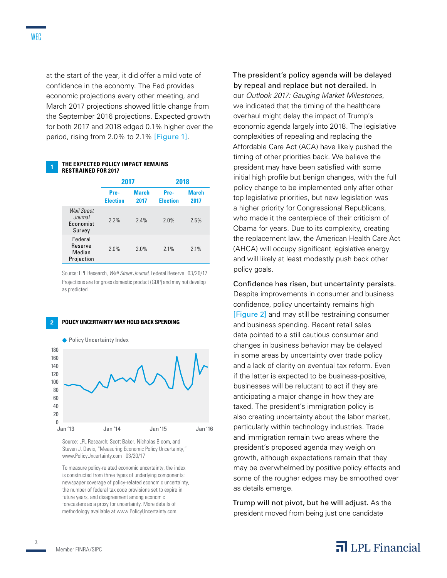at the start of the year, it did offer a mild vote of confidence in the economy. The Fed provides economic projections every other meeting, and March 2017 projections showed little change from the September 2016 projections. Expected growth for both 2017 and 2018 edged 0.1% higher over the period, rising from 2.0% to 2.1% [Figure 1].

|  | THE EXPECTED POLICY IMPACT REMAINS |
|--|------------------------------------|
|  | <b>RESTRAINED FOR 2017</b>         |

|                                                      | 2017                    |                      | 2018                    |                      |
|------------------------------------------------------|-------------------------|----------------------|-------------------------|----------------------|
|                                                      | Pre-<br><b>Election</b> | <b>March</b><br>2017 | Pre-<br><b>Election</b> | <b>March</b><br>2017 |
| <b>Wall Street</b><br>Journal<br>Economist<br>Survey | 2.2%                    | 2.4%                 | 2.0%                    | 2.5%                 |
| Federal<br>Reserve<br>Median<br>Projection           | 2.0%                    | 2.0%                 | 2.1%                    | 2.1%                 |

Source: LPL Research, *Wall Street Journal*, Federal Reserve 03/20/17 Projections are for gross domestic product (GDP) and may not develop as predicted.

### **2 POLICY UNCERTAINTY MAY HOLD BACK SPENDING**



Source: LPL Research; Scott Baker, Nicholas Bloom, and Steven J. Davis, "Measuring Economic Policy Uncertainty," www.PolicyUncertainty.com 03/20/17

To measure policy-related economic uncertainty, the index is constructed from three types of underlying components: newspaper coverage of policy-related economic uncertainty, the number of federal tax code provisions set to expire in future years, and disagreement among economic forecasters as a proxy for uncertainty. More details of methodology available at www.PolicyUncertainty.com.

The president's policy agenda will be delayed by repeal and replace but not derailed. In our *Outlook 2017: Gauging Market Milestones*, we indicated that the timing of the healthcare overhaul might delay the impact of Trump's economic agenda largely into 2018. The legislative complexities of repealing and replacing the Affordable Care Act (ACA) have likely pushed the timing of other priorities back. We believe the president may have been satisfied with some initial high profile but benign changes, with the full policy change to be implemented only after other top legislative priorities, but new legislation was a higher priority for Congressional Republicans, who made it the centerpiece of their criticism of Obama for years. Due to its complexity, creating the replacement law, the American Health Care Act (AHCA) will occupy significant legislative energy and will likely at least modestly push back other policy goals.

Confidence has risen, but uncertainty persists. Despite improvements in consumer and business confidence, policy uncertainty remains high [Figure 2] and may still be restraining consumer and business spending. Recent retail sales data pointed to a still cautious consumer and changes in business behavior may be delayed in some areas by uncertainty over trade policy and a lack of clarity on eventual tax reform. Even if the latter is expected to be business-positive, businesses will be reluctant to act if they are anticipating a major change in how they are taxed. The president's immigration policy is also creating uncertainty about the labor market, particularly within technology industries. Trade and immigration remain two areas where the president's proposed agenda may weigh on growth, although expectations remain that they may be overwhelmed by positive policy effects and some of the rougher edges may be smoothed over as details emerge.

Trump will not pivot, but he will adjust. As the president moved from being just one candidate

 $\overline{\mathbf{a}}$  LPL Financial

#### Member FINRA/SIPC

 $\mathfrak{D}$